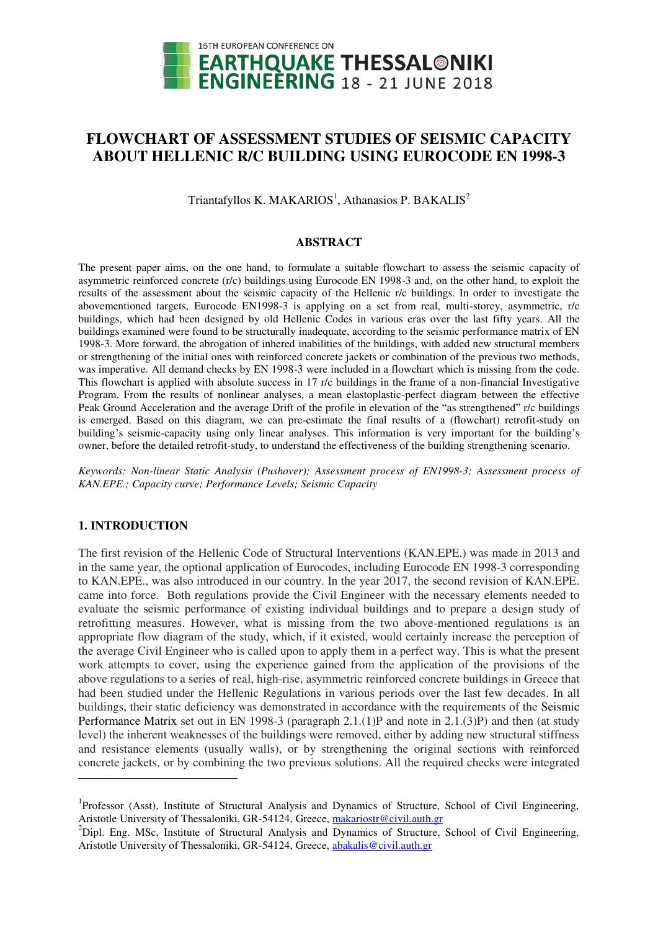

# **FLOWCHART OF ASSESSMENT STUDIES OF SEISMIC CAPACITY ABOUT HELLENIC R/C BUILDING USING EUROCODE EN 1998-3**

Triantafyllos K. MAKARIOS<sup>1</sup>, Athanasios P. BAKALIS<sup>2</sup>

### **ABSTRACT**

The present paper aims, on the one hand, to formulate a suitable flowchart to assess the seismic capacity of asymmetric reinforced concrete (r/c) buildings using Eurocode EN 1998-3 and, on the other hand, to exploit the results of the assessment about the seismic capacity of the Hellenic r/c buildings. In order to investigate the abovementioned targets, Eurocode EN1998-3 is applying on a set from real, multi-storey, asymmetric, r/c buildings, which had been designed by old Hellenic Codes in various eras over the last fifty years. All the buildings examined were found to be structurally inadequate, according to the seismic performance matrix of EN 1998-3. More forward, the abrogation of inhered inabilities of the buildings, with added new structural members or strengthening of the initial ones with reinforced concrete jackets or combination of the previous two methods, was imperative. All demand checks by EN 1998-3 were included in a flowchart which is missing from the code. This flowchart is applied with absolute success in 17 r/c buildings in the frame of a non-financial Investigative Program. From the results of nonlinear analyses, a mean elastoplastic-perfect diagram between the effective Peak Ground Acceleration and the average Drift of the profile in elevation of the "as strengthened" r/c buildings is emerged. Based on this diagram, we can pre-estimate the final results of a (flowchart) retrofit-study on building's seismic-capacity using only linear analyses. This information is very important for the building's owner, before the detailed retrofit-study, to understand the effectiveness of the building strengthening scenario.

*Keywords: Non-linear Static Analysis (Pushover); Assessment process of EN1998-3; Assessment process of KAN.EPE.; Capacity curve; Performance Levels; Seismic Capacity* 

# **1. INTRODUCTION**

 $\overline{a}$ 

The first revision of the Hellenic Code of Structural Interventions (KAN.EPE.) was made in 2013 and in the same year, the optional application of Eurocodes, including Eurocode EN 1998-3 corresponding to KAN.EPE., was also introduced in our country. In the year 2017, the second revision of KAN.EPE. came into force. Both regulations provide the Civil Engineer with the necessary elements needed to evaluate the seismic performance of existing individual buildings and to prepare a design study of retrofitting measures. However, what is missing from the two above-mentioned regulations is an appropriate flow diagram of the study, which, if it existed, would certainly increase the perception of the average Civil Engineer who is called upon to apply them in a perfect way. This is what the present work attempts to cover, using the experience gained from the application of the provisions of the above regulations to a series of real, high-rise, asymmetric reinforced concrete buildings in Greece that had been studied under the Hellenic Regulations in various periods over the last few decades. In all buildings, their static deficiency was demonstrated in accordance with the requirements of the Seismic Performance Matrix set out in EN 1998-3 (paragraph 2.1.(1)P and note in 2.1.(3)P) and then (at study level) the inherent weaknesses of the buildings were removed, either by adding new structural stiffness and resistance elements (usually walls), or by strengthening the original sections with reinforced concrete jackets, or by combining the two previous solutions. All the required checks were integrated

<sup>&</sup>lt;sup>1</sup>Professor (Asst), Institute of Structural Analysis and Dynamics of Structure, School of Civil Engineering, Aristotle University of Thessaloniki, GR-54124, Greece[, makariostr@civil.auth.gr](mailto:makariostr@civil.auth.gr) 

<sup>&</sup>lt;sup>2</sup>Dipl. Eng. MSc, Institute of Structural Analysis and Dynamics of Structure, School of Civil Engineering, Aristotle University of Thessaloniki, GR-54124, Greece, abakalis@civil.auth.gr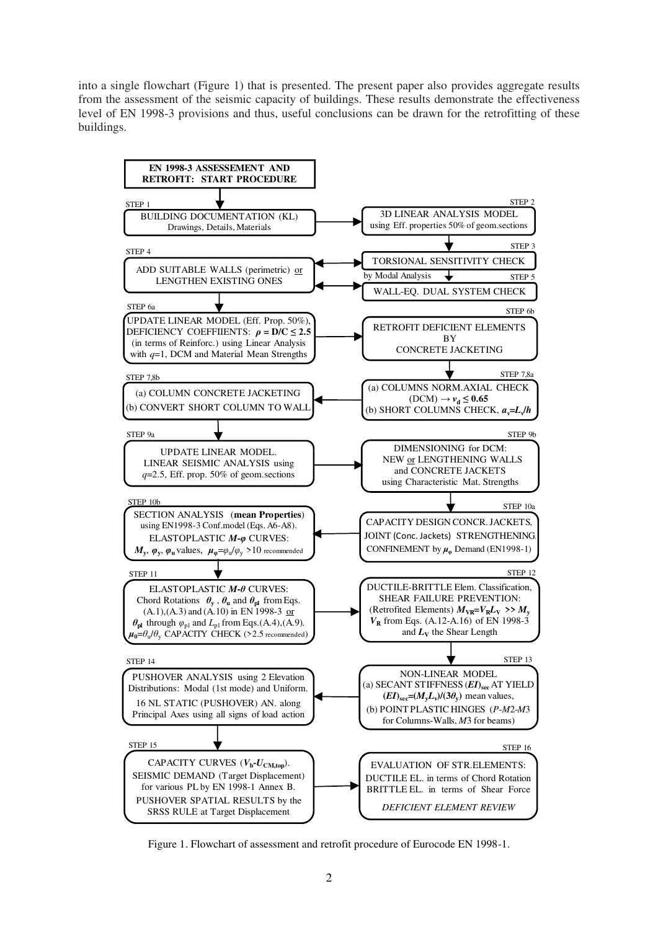into a single flowchart (Figure 1) that is presented. The present paper also provides aggregate results from the assessment of the seismic capacity of buildings. These results demonstrate the effectiveness level of EN 1998-3 provisions and thus, useful conclusions can be drawn for the retrofitting of these buildings.



Figure 1. Flowchart of assessment and retrofit procedure of Eurocode EN 1998-1.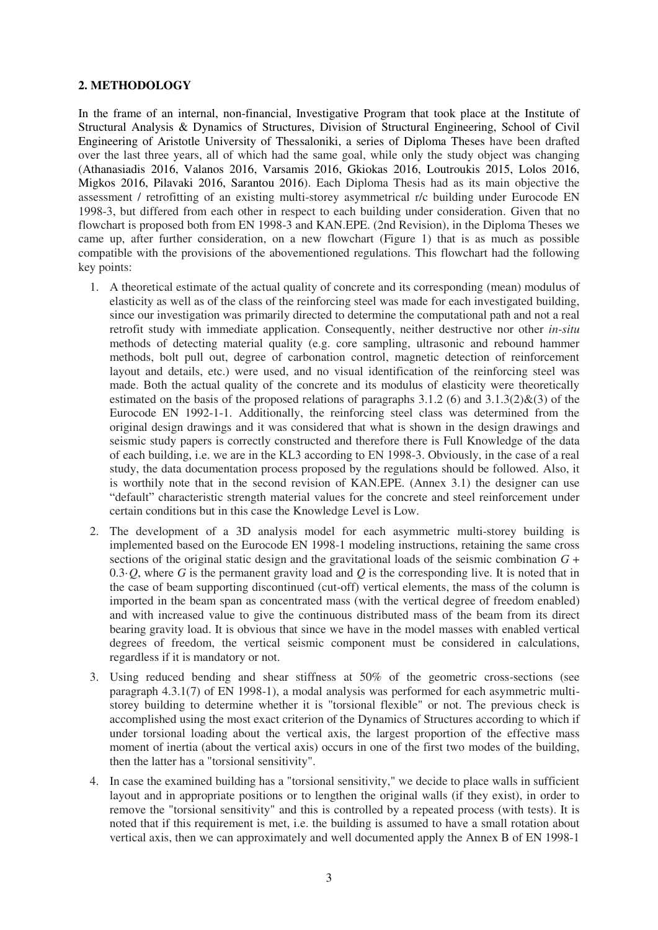# **2. METHODOLOGY**

In the frame of an internal, non-financial, Investigative Program that took place at the Institute of Structural Analysis & Dynamics of Structures, Division of Structural Engineering, School of Civil Engineering of Aristotle University of Thessaloniki, a series of Diploma Theses have been drafted over the last three years, all of which had the same goal, while only the study object was changing (Athanasiadis 2016, Valanos 2016, Varsamis 2016, Gkiokas 2016, Loutroukis 2015, Lolos 2016, Migkos 2016, Pilavaki 2016, Sarantou 2016). Each Diploma Thesis had as its main objective the assessment / retrofitting of an existing multi-storey asymmetrical r/c building under Eurocode EN 1998-3, but differed from each other in respect to each building under consideration. Given that no flowchart is proposed both from EN 1998-3 and KAN.EPE. (2nd Revision), in the Diploma Theses we came up, after further consideration, on a new flowchart (Figure 1) that is as much as possible compatible with the provisions of the abovementioned regulations. This flowchart had the following key points:

- 1. A theoretical estimate of the actual quality of concrete and its corresponding (mean) modulus of elasticity as well as of the class of the reinforcing steel was made for each investigated building, since our investigation was primarily directed to determine the computational path and not a real retrofit study with immediate application. Consequently, neither destructive nor other *in-situ* methods of detecting material quality (e.g. core sampling, ultrasonic and rebound hammer methods, bolt pull out, degree of carbonation control, magnetic detection of reinforcement layout and details, etc.) were used, and no visual identification of the reinforcing steel was made. Both the actual quality of the concrete and its modulus of elasticity were theoretically estimated on the basis of the proposed relations of paragraphs  $3.1.2$  (6) and  $3.1.3(2)$ &(3) of the Eurocode EN 1992-1-1. Additionally, the reinforcing steel class was determined from the original design drawings and it was considered that what is shown in the design drawings and seismic study papers is correctly constructed and therefore there is Full Knowledge of the data of each building, i.e. we are in the KL3 according to ΕΝ 1998-3. Obviously, in the case of a real study, the data documentation process proposed by the regulations should be followed. Also, it is worthily note that in the second revision of KAN.EPE. (Annex 3.1) the designer can use "default" characteristic strength material values for the concrete and steel reinforcement under certain conditions but in this case the Knowledge Level is Low.
- 2. The development of a 3D analysis model for each asymmetric multi-storey building is implemented based on the Eurocode EN 1998-1 modeling instructions, retaining the same cross sections of the original static design and the gravitational loads of the seismic combination *G* + 0.3·*Q*, where *G* is the permanent gravity load and *Q* is the corresponding live. It is noted that in the case of beam supporting discontinued (cut-off) vertical elements, the mass of the column is imported in the beam span as concentrated mass (with the vertical degree of freedom enabled) and with increased value to give the continuous distributed mass of the beam from its direct bearing gravity load. It is obvious that since we have in the model masses with enabled vertical degrees of freedom, the vertical seismic component must be considered in calculations, regardless if it is mandatory or not.
- 3. Using reduced bending and shear stiffness at 50% of the geometric cross-sections (see paragraph 4.3.1(7) of EN 1998-1), a modal analysis was performed for each asymmetric multistorey building to determine whether it is "torsional flexible" or not. The previous check is accomplished using the most exact criterion of the Dynamics of Structures according to which if under torsional loading about the vertical axis, the largest proportion of the effective mass moment of inertia (about the vertical axis) occurs in one of the first two modes of the building, then the latter has a "torsional sensitivity".
- 4. In case the examined building has a "torsional sensitivity," we decide to place walls in sufficient layout and in appropriate positions or to lengthen the original walls (if they exist), in order to remove the "torsional sensitivity" and this is controlled by a repeated process (with tests). It is noted that if this requirement is met, i.e. the building is assumed to have a small rotation about vertical axis, then we can approximately and well documented apply the Annex B of EN 1998-1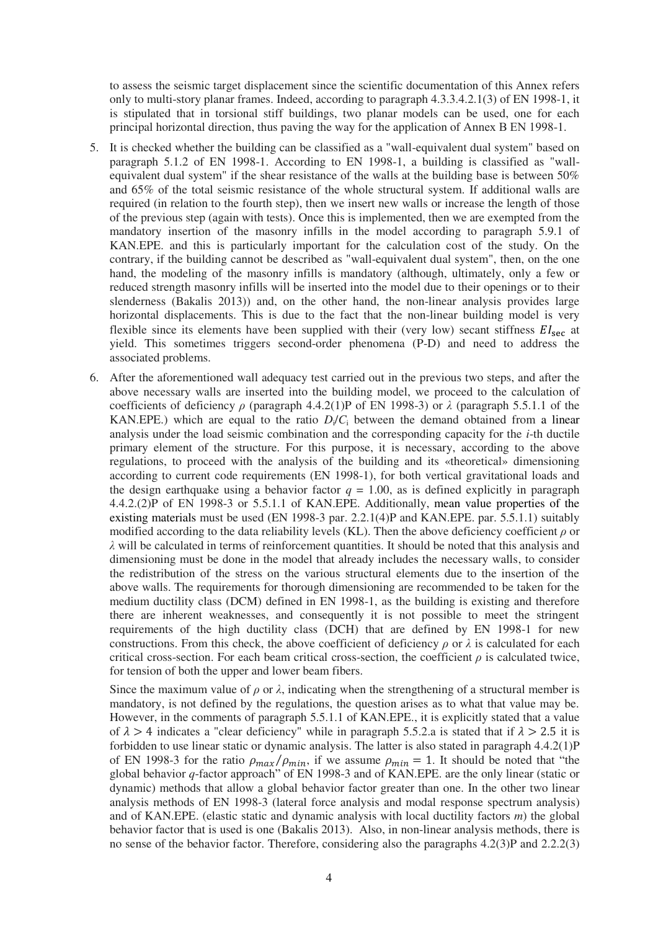to assess the seismic target displacement since the scientific documentation of this Annex refers only to multi-story planar frames. Indeed, according to paragraph 4.3.3.4.2.1(3) of EN 1998-1, it is stipulated that in torsional stiff buildings, two planar models can be used, one for each principal horizontal direction, thus paving the way for the application of Annex B ΕΝ 1998-1.

- 5. It is checked whether the building can be classified as a "wall-equivalent dual system" based on paragraph 5.1.2 of EN 1998-1. According to EN 1998-1, a building is classified as "wallequivalent dual system" if the shear resistance of the walls at the building base is between 50% and 65% of the total seismic resistance of the whole structural system. If additional walls are required (in relation to the fourth step), then we insert new walls or increase the length of those of the previous step (again with tests). Once this is implemented, then we are exempted from the mandatory insertion of the masonry infills in the model according to paragraph 5.9.1 of KAN.EPE. and this is particularly important for the calculation cost of the study. On the contrary, if the building cannot be described as "wall-equivalent dual system", then, on the one hand, the modeling of the masonry infills is mandatory (although, ultimately, only a few or reduced strength masonry infills will be inserted into the model due to their openings or to their slenderness (Bakalis 2013)) and, on the other hand, the non-linear analysis provides large horizontal displacements. This is due to the fact that the non-linear building model is very flexible since its elements have been supplied with their (very low) secant stiffness  $EI<sub>sec</sub>$  at yield. This sometimes triggers second-order phenomena (P-D) and need to address the associated problems.
- 6. After the aforementioned wall adequacy test carried out in the previous two steps, and after the above necessary walls are inserted into the building model, we proceed to the calculation of coefficients of deficiency *ρ* (paragraph 4.4.2(1)P of ΕΝ 1998-3) or *λ* (paragraph 5.5.1.1 of the KAN.EPE.) which are equal to the ratio  $D_i/C_i$  between the demand obtained from a linear analysis under the load seismic combination and the corresponding capacity for the *i*-th ductile primary element of the structure. For this purpose, it is necessary, according to the above regulations, to proceed with the analysis of the building and its «theoretical» dimensioning according to current code requirements (EN 1998-1), for both vertical gravitational loads and the design earthquake using a behavior factor  $q = 1.00$ , as is defined explicitly in paragraph 4.4.2.(2)P of ΕΝ 1998-3 or 5.5.1.1 of KAN.EPE. Additionally, mean value properties of the existing materials must be used (EN 1998-3 par. 2.2.1(4)P and KAN.EPE. par. 5.5.1.1) suitably modified according to the data reliability levels (KL). Then the above deficiency coefficient *ρ* or *λ* will be calculated in terms of reinforcement quantities. It should be noted that this analysis and dimensioning must be done in the model that already includes the necessary walls, to consider the redistribution of the stress on the various structural elements due to the insertion of the above walls. The requirements for thorough dimensioning are recommended to be taken for the medium ductility class (DCM) defined in EN 1998-1, as the building is existing and therefore there are inherent weaknesses, and consequently it is not possible to meet the stringent requirements of the high ductility class (DCH) that are defined by EN 1998-1 for new constructions. From this check, the above coefficient of deficiency  $\rho$  or  $\lambda$  is calculated for each critical cross-section. For each beam critical cross-section, the coefficient  $\rho$  is calculated twice, for tension of both the upper and lower beam fibers.

Since the maximum value of  $\rho$  or  $\lambda$ , indicating when the strengthening of a structural member is mandatory, is not defined by the regulations, the question arises as to what that value may be. However, in the comments of paragraph 5.5.1.1 of KAN.EPE., it is explicitly stated that a value of  $\lambda > 4$  indicates a "clear deficiency" while in paragraph 5.5.2.a is stated that if  $\lambda > 2.5$  it is forbidden to use linear static or dynamic analysis. The latter is also stated in paragraph 4.4.2(1)P of EN 1998-3 for the ratio  $\rho_{max}/\rho_{min}$ , if we assume  $\rho_{min} = 1$ . It should be noted that "the global behavior *q*-factor approach" of EN 1998-3 and of KAN.EPE. are the only linear (static or dynamic) methods that allow a global behavior factor greater than one. In the other two linear analysis methods of EN 1998-3 (lateral force analysis and modal response spectrum analysis) and of KAN.EPE. (elastic static and dynamic analysis with local ductility factors *m*) the global behavior factor that is used is one (Bakalis 2013). Also, in non-linear analysis methods, there is no sense of the behavior factor. Therefore, considering also the paragraphs 4.2(3)P and 2.2.2(3)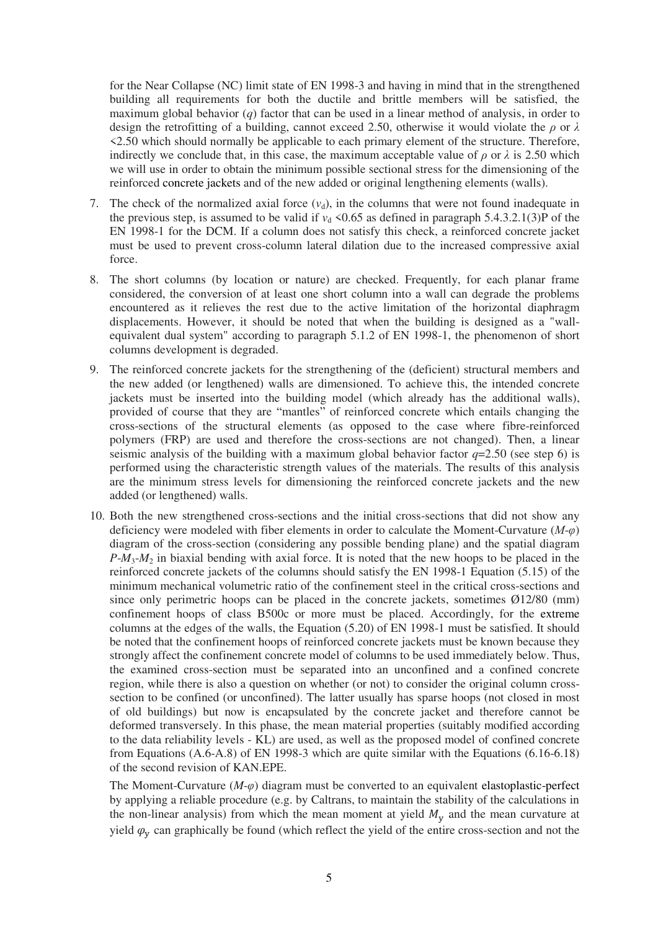for the Near Collapse (NC) limit state of EN 1998-3 and having in mind that in the strengthened building all requirements for both the ductile and brittle members will be satisfied, the maximum global behavior (*q*) factor that can be used in a linear method of analysis, in order to design the retrofitting of a building, cannot exceed 2.50, otherwise it would violate the *ρ* or *λ* <2.50 which should normally be applicable to each primary element of the structure. Therefore, indirectly we conclude that, in this case, the maximum acceptable value of  $\rho$  or  $\lambda$  is 2.50 which we will use in order to obtain the minimum possible sectional stress for the dimensioning of the reinforced concrete jackets and of the new added or original lengthening elements (walls).

- 7. The check of the normalized axial force  $(v<sub>d</sub>)$ , in the columns that were not found inadequate in the previous step, is assumed to be valid if  $v<sub>d</sub> < 0.65$  as defined in paragraph 5.4.3.2.1(3)P of the EN 1998-1 for the DCM. If a column does not satisfy this check, a reinforced concrete jacket must be used to prevent cross-column lateral dilation due to the increased compressive axial force.
- 8. The short columns (by location or nature) are checked. Frequently, for each planar frame considered, the conversion of at least one short column into a wall can degrade the problems encountered as it relieves the rest due to the active limitation of the horizontal diaphragm displacements. However, it should be noted that when the building is designed as a "wallequivalent dual system" according to paragraph 5.1.2 of EN 1998-1, the phenomenon of short columns development is degraded.
- 9. The reinforced concrete jackets for the strengthening of the (deficient) structural members and the new added (or lengthened) walls are dimensioned. To achieve this, the intended concrete jackets must be inserted into the building model (which already has the additional walls), provided of course that they are "mantles" of reinforced concrete which entails changing the cross-sections of the structural elements (as opposed to the case where fibre-reinforced polymers (FRP) are used and therefore the cross-sections are not changed). Then, a linear seismic analysis of the building with a maximum global behavior factor  $q=2.50$  (see step 6) is performed using the characteristic strength values of the materials. The results of this analysis are the minimum stress levels for dimensioning the reinforced concrete jackets and the new added (or lengthened) walls.
- 10. Both the new strengthened cross-sections and the initial cross-sections that did not show any deficiency were modeled with fiber elements in order to calculate the Moment-Curvature (*Μ*-*φ*) diagram of the cross-section (considering any possible bending plane) and the spatial diagram *P*-*M*3-*M*2 in biaxial bending with axial force. It is noted that the new hoops to be placed in the reinforced concrete jackets of the columns should satisfy the EN 1998-1 Equation (5.15) of the minimum mechanical volumetric ratio of the confinement steel in the critical cross-sections and since only perimetric hoops can be placed in the concrete jackets, sometimes Ø12/80 (mm) confinement hoops of class B500c or more must be placed. Accordingly, for the extreme columns at the edges of the walls, the Equation (5.20) of EN 1998-1 must be satisfied. It should be noted that the confinement hoops of reinforced concrete jackets must be known because they strongly affect the confinement concrete model of columns to be used immediately below. Thus, the examined cross-section must be separated into an unconfined and a confined concrete region, while there is also a question on whether (or not) to consider the original column crosssection to be confined (or unconfined). The latter usually has sparse hoops (not closed in most of old buildings) but now is encapsulated by the concrete jacket and therefore cannot be deformed transversely. In this phase, the mean material properties (suitably modified according to the data reliability levels - KL) are used, as well as the proposed model of confined concrete from Equations (A.6-A.8) of EN 1998-3 which are quite similar with the Equations (6.16-6.18) of the second revision of KAN.EPE.

The Moment-Curvature (*M*-*φ*) diagram must be converted to an equivalent elastoplastic-perfect by applying a reliable procedure (e.g. by Caltrans, to maintain the stability of the calculations in the non-linear analysis) from which the mean moment at yield  $M_{\rm v}$  and the mean curvature at yield  $\varphi$ <sub>v</sub> can graphically be found (which reflect the yield of the entire cross-section and not the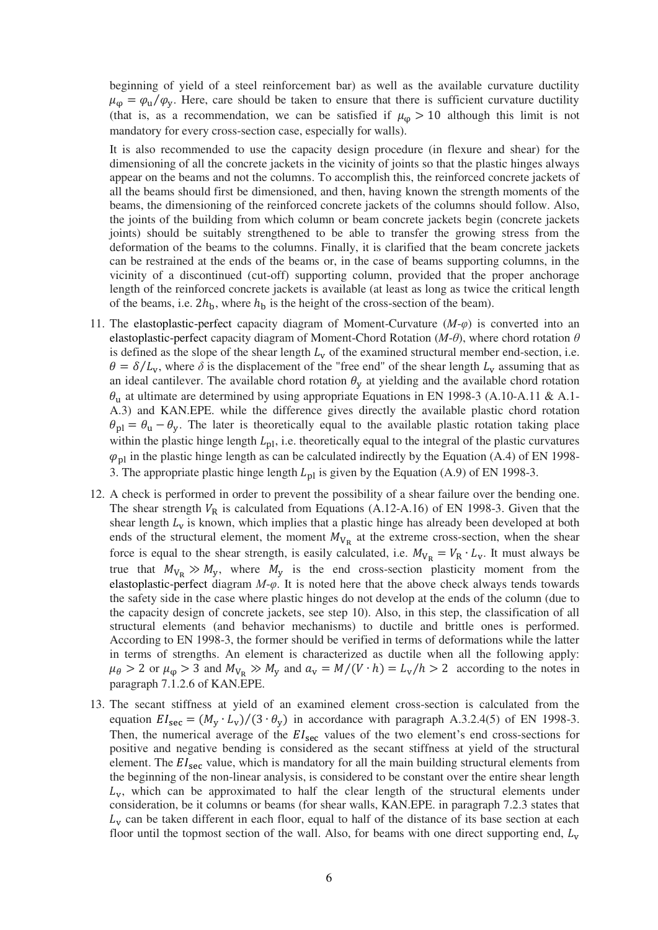beginning of yield of a steel reinforcement bar) as well as the available curvature ductility  $\mu_{\omega} = \varphi_{\rm u}/\varphi_{\rm v}$ . Here, care should be taken to ensure that there is sufficient curvature ductility (that is, as a recommendation, we can be satisfied if  $\mu_{\alpha} > 10$  although this limit is not mandatory for every cross-section case, especially for walls).

It is also recommended to use the capacity design procedure (in flexure and shear) for the dimensioning of all the concrete jackets in the vicinity of joints so that the plastic hinges always appear on the beams and not the columns. To accomplish this, the reinforced concrete jackets of all the beams should first be dimensioned, and then, having known the strength moments of the beams, the dimensioning of the reinforced concrete jackets of the columns should follow. Also, the joints of the building from which column or beam concrete jackets begin (concrete jackets joints) should be suitably strengthened to be able to transfer the growing stress from the deformation of the beams to the columns. Finally, it is clarified that the beam concrete jackets can be restrained at the ends of the beams or, in the case of beams supporting columns, in the vicinity of a discontinued (cut-off) supporting column, provided that the proper anchorage length of the reinforced concrete jackets is available (at least as long as twice the critical length of the beams, i.e.  $2h<sub>b</sub>$ , where  $h<sub>b</sub>$  is the height of the cross-section of the beam).

- 11. The elastoplastic-perfect capacity diagram of Moment-Curvature (*M*-*φ*) is converted into an elastoplastic-perfect capacity diagram of Moment-Chord Rotation  $(M-\theta)$ , where chord rotation  $\theta$ is defined as the slope of the shear length  $L<sub>v</sub>$  of the examined structural member end-section, i.e.  $\theta = \delta/L_v$ , where  $\delta$  is the displacement of the "free end" of the shear length  $L_v$  assuming that as an ideal cantilever. The available chord rotation  $\theta_{\rm v}$  at yielding and the available chord rotation  $\theta_{\rm u}$  at ultimate are determined by using appropriate Equations in EN 1998-3 (A.10-A.11 & A.1-A.3) and KAN.EPE. while the difference gives directly the available plastic chord rotation  $\theta_{\rm pl} = \theta_{\rm u} - \theta_{\rm y}$ . The later is theoretically equal to the available plastic rotation taking place within the plastic hinge length  $L_{\text{nl}}$ , i.e. theoretically equal to the integral of the plastic curvatures  $\varphi_{\text{nl}}$  in the plastic hinge length as can be calculated indirectly by the Equation (A.4) of EN 1998-3. The appropriate plastic hinge length  $L_{\text{pl}}$  is given by the Equation (A.9) of EN 1998-3.
- 12. A check is performed in order to prevent the possibility of a shear failure over the bending one. The shear strength  $V_R$  is calculated from Equations (A.12-A.16) of EN 1998-3. Given that the shear length  $L_v$  is known, which implies that a plastic hinge has already been developed at both ends of the structural element, the moment  $M_{V_R}$  at the extreme cross-section, when the shear force is equal to the shear strength, is easily calculated, i.e.  $M_{V_R} = V_R \cdot L_V$ . It must always be true that  $M_{V_R} \gg M_y$ , where  $M_y$  is the end cross-section plasticity moment from the elastoplastic-perfect diagram *Μ*-*φ*. It is noted here that the above check always tends towards the safety side in the case where plastic hinges do not develop at the ends of the column (due to the capacity design of concrete jackets, see step 10). Also, in this step, the classification of all structural elements (and behavior mechanisms) to ductile and brittle ones is performed. According to EN 1998-3, the former should be verified in terms of deformations while the latter in terms of strengths. An element is characterized as ductile when all the following apply:  $\mu_{\theta} > 2$  or  $\mu_{\phi} > 3$  and  $M_{V_R} \gg M_{V}$  and  $a_V = M/(V \cdot h) = L_V/h > 2$  according to the notes in paragraph 7.1.2.6 of KAN.EPE.
- 13. The secant stiffness at yield of an examined element cross-section is calculated from the equation  $EI_{\text{sec}} = (M_v \cdot L_v)/(3 \cdot \theta_v)$  in accordance with paragraph A.3.2.4(5) of EN 1998-3. Then, the numerical average of the  $EI<sub>sec</sub>$  values of the two element's end cross-sections for positive and negative bending is considered as the secant stiffness at yield of the structural element. The  $EI<sub>sec</sub>$  value, which is mandatory for all the main building structural elements from the beginning of the non-linear analysis, is considered to be constant over the entire shear length  $L<sub>y</sub>$ , which can be approximated to half the clear length of the structural elements under consideration, be it columns or beams (for shear walls, KAN.EPE. in paragraph 7.2.3 states that  $L<sub>v</sub>$  can be taken different in each floor, equal to half of the distance of its base section at each floor until the topmost section of the wall. Also, for beams with one direct supporting end,  $L_{\rm v}$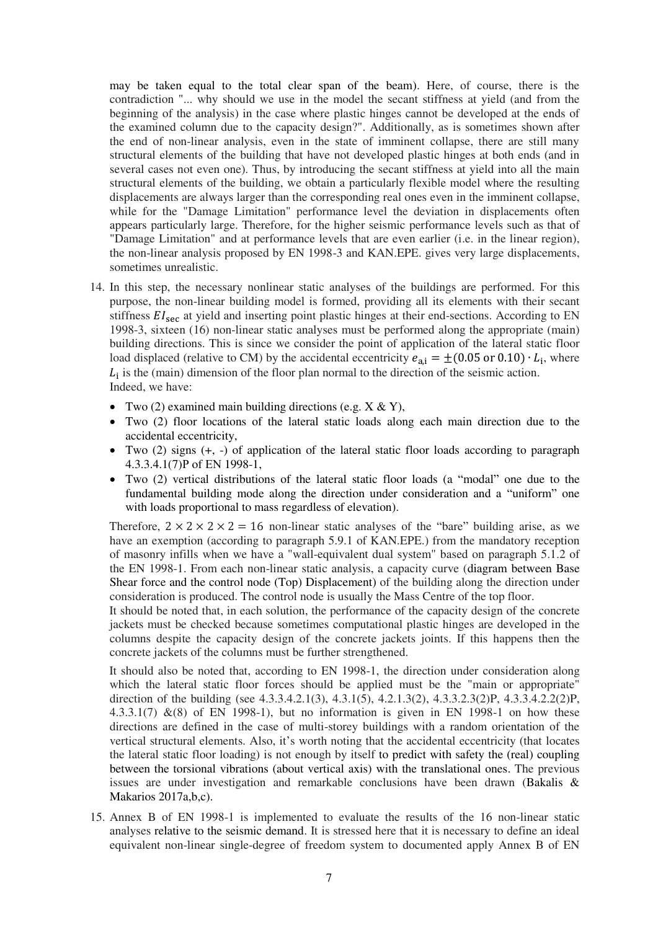may be taken equal to the total clear span of the beam). Here, of course, there is the contradiction "... why should we use in the model the secant stiffness at yield (and from the beginning of the analysis) in the case where plastic hinges cannot be developed at the ends of the examined column due to the capacity design?". Additionally, as is sometimes shown after the end of non-linear analysis, even in the state of imminent collapse, there are still many structural elements of the building that have not developed plastic hinges at both ends (and in several cases not even one). Thus, by introducing the secant stiffness at yield into all the main structural elements of the building, we obtain a particularly flexible model where the resulting displacements are always larger than the corresponding real ones even in the imminent collapse, while for the "Damage Limitation" performance level the deviation in displacements often appears particularly large. Therefore, for the higher seismic performance levels such as that of "Damage Limitation" and at performance levels that are even earlier (i.e. in the linear region), the non-linear analysis proposed by EN 1998-3 and KAN.EPE. gives very large displacements, sometimes unrealistic.

- 14. In this step, the necessary nonlinear static analyses of the buildings are performed. For this purpose, the non-linear building model is formed, providing all its elements with their secant stiffness  $EI<sub>sec</sub>$  at yield and inserting point plastic hinges at their end-sections. According to EN 1998-3, sixteen (16) non-linear static analyses must be performed along the appropriate (main) building directions. This is since we consider the point of application of the lateral static floor load displaced (relative to CM) by the accidental eccentricity  $e_{a,i} = \pm (0.05 \text{ or } 0.10) \cdot L_i$ , where  $L_i$  is the (main) dimension of the floor plan normal to the direction of the seismic action. Indeed, we have:
	- Two (2) examined main building directions (e.g.  $X \& Y$ ),
	- Two (2) floor locations of the lateral static loads along each main direction due to the accidental eccentricity,
	- Two (2) signs (+, -) of application of the lateral static floor loads according to paragraph 4.3.3.4.1(7)Ρ of ΕΝ 1998-1,
	- Two (2) vertical distributions of the lateral static floor loads (a "modal" one due to the fundamental building mode along the direction under consideration and a "uniform" one with loads proportional to mass regardless of elevation).

Therefore,  $2 \times 2 \times 2 \times 2 = 16$  non-linear static analyses of the "bare" building arise, as we have an exemption (according to paragraph 5.9.1 of KAN.EPE.) from the mandatory reception of masonry infills when we have a "wall-equivalent dual system" based on paragraph 5.1.2 of the EN 1998-1. From each non-linear static analysis, a capacity curve (diagram between Base Shear force and the control node (Top) Displacement) of the building along the direction under consideration is produced. The control node is usually the Mass Centre of the top floor.

It should be noted that, in each solution, the performance of the capacity design of the concrete jackets must be checked because sometimes computational plastic hinges are developed in the columns despite the capacity design of the concrete jackets joints. If this happens then the concrete jackets of the columns must be further strengthened.

It should also be noted that, according to EN 1998-1, the direction under consideration along which the lateral static floor forces should be applied must be the "main or appropriate" direction of the building (see 4.3.3.4.2.1(3), 4.3.1(5), 4.2.1.3(2), 4.3.3.2.3(2)P, 4.3.3.4.2.2(2)P, 4.3.3.1(7)  $\&$  (8) of EN 1998-1), but no information is given in EN 1998-1 on how these directions are defined in the case of multi-storey buildings with a random orientation of the vertical structural elements. Also, it's worth noting that the accidental eccentricity (that locates the lateral static floor loading) is not enough by itself to predict with safety the (real) coupling between the torsional vibrations (about vertical axis) with the translational ones. The previous issues are under investigation and remarkable conclusions have been drawn (Bakalis & Makarios 2017a,b,c).

15. Annex B of EN 1998-1 is implemented to evaluate the results of the 16 non-linear static analyses relative to the seismic demand. It is stressed here that it is necessary to define an ideal equivalent non-linear single-degree of freedom system to documented apply Annex B of EN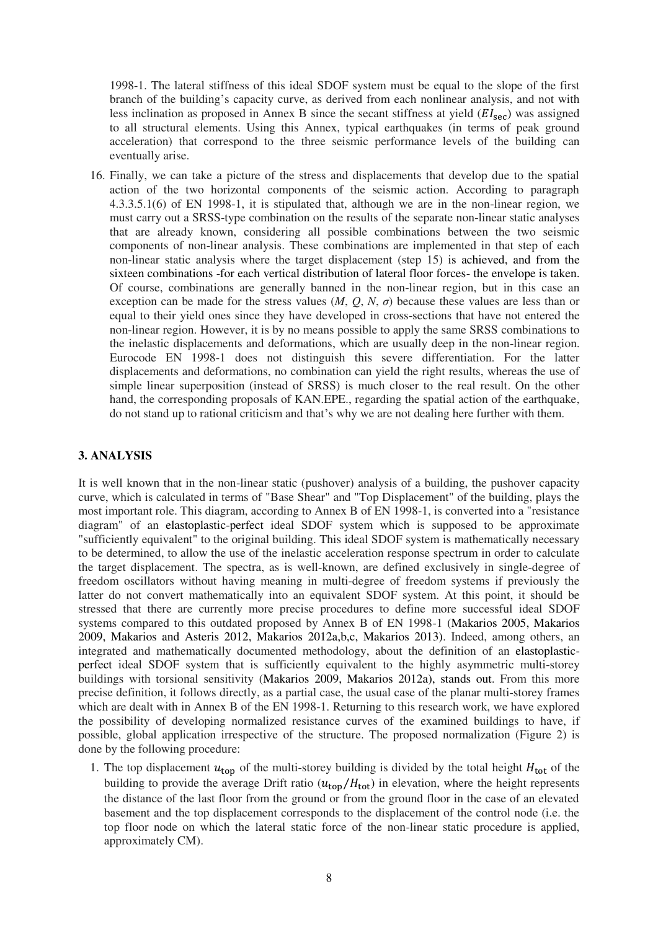1998-1. The lateral stiffness of this ideal SDOF system must be equal to the slope of the first branch of the building's capacity curve, as derived from each nonlinear analysis, and not with less inclination as proposed in Annex B since the secant stiffness at yield  $(EI_{\text{sec}})$  was assigned to all structural elements. Using this Annex, typical earthquakes (in terms of peak ground acceleration) that correspond to the three seismic performance levels of the building can eventually arise.

16. Finally, we can take a picture of the stress and displacements that develop due to the spatial action of the two horizontal components of the seismic action. According to paragraph 4.3.3.5.1(6) of EN 1998-1, it is stipulated that, although we are in the non-linear region, we must carry out a SRSS-type combination on the results of the separate non-linear static analyses that are already known, considering all possible combinations between the two seismic components of non-linear analysis. These combinations are implemented in that step of each non-linear static analysis where the target displacement (step 15) is achieved, and from the sixteen combinations -for each vertical distribution of lateral floor forces- the envelope is taken. Of course, combinations are generally banned in the non-linear region, but in this case an exception can be made for the stress values  $(M, Q, N, \sigma)$  because these values are less than or equal to their yield ones since they have developed in cross-sections that have not entered the non-linear region. However, it is by no means possible to apply the same SRSS combinations to the inelastic displacements and deformations, which are usually deep in the non-linear region. Eurocode EN 1998-1 does not distinguish this severe differentiation. For the latter displacements and deformations, no combination can yield the right results, whereas the use of simple linear superposition (instead of SRSS) is much closer to the real result. On the other hand, the corresponding proposals of KAN.EPE., regarding the spatial action of the earthquake, do not stand up to rational criticism and that's why we are not dealing here further with them.

# **3. ANALYSIS**

It is well known that in the non-linear static (pushover) analysis of a building, the pushover capacity curve, which is calculated in terms of "Base Shear" and "Top Displacement" of the building, plays the most important role. This diagram, according to Annex B of EN 1998-1, is converted into a "resistance diagram" of an elastoplastic-perfect ideal SDOF system which is supposed to be approximate "sufficiently equivalent" to the original building. This ideal SDOF system is mathematically necessary to be determined, to allow the use of the inelastic acceleration response spectrum in order to calculate the target displacement. The spectra, as is well-known, are defined exclusively in single-degree of freedom oscillators without having meaning in multi-degree of freedom systems if previously the latter do not convert mathematically into an equivalent SDOF system. At this point, it should be stressed that there are currently more precise procedures to define more successful ideal SDOF systems compared to this outdated proposed by Annex B of EN 1998-1 (Makarios 2005, Makarios 2009, Makarios and Asteris 2012, Makarios 2012a,b,c, Makarios 2013). Indeed, among others, an integrated and mathematically documented methodology, about the definition of an elastoplasticperfect ideal SDOF system that is sufficiently equivalent to the highly asymmetric multi-storey buildings with torsional sensitivity (Makarios 2009, Makarios 2012a), stands out. From this more precise definition, it follows directly, as a partial case, the usual case of the planar multi-storey frames which are dealt with in Annex B of the EN 1998-1. Returning to this research work, we have explored the possibility of developing normalized resistance curves of the examined buildings to have, if possible, global application irrespective of the structure. The proposed normalization (Figure 2) is done by the following procedure:

1. The top displacement  $u_{top}$  of the multi-storey building is divided by the total height  $H_{tot}$  of the building to provide the average Drift ratio  $(u_{\text{top}}/H_{\text{tot}})$  in elevation, where the height represents the distance of the last floor from the ground or from the ground floor in the case of an elevated basement and the top displacement corresponds to the displacement of the control node (i.e. the top floor node on which the lateral static force of the non-linear static procedure is applied, approximately CM).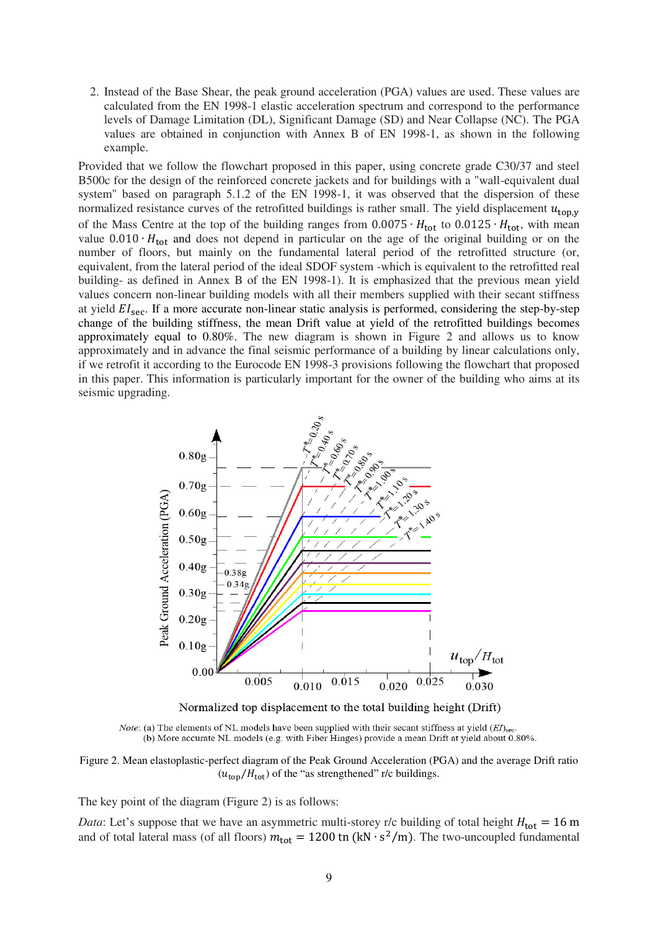2. Instead of the Base Shear, the peak ground acceleration (PGA) values are used. These values are calculated from the EN 1998-1 elastic acceleration spectrum and correspond to the performance levels of Damage Limitation (DL), Significant Damage (SD) and Near Collapse (NC). The PGA values are obtained in conjunction with Annex B of EN 1998-1, as shown in the following example.

Provided that we follow the flowchart proposed in this paper, using concrete grade C30/37 and steel B500c for the design of the reinforced concrete jackets and for buildings with a "wall-equivalent dual system" based on paragraph 5.1.2 of the EN 1998-1, it was observed that the dispersion of these normalized resistance curves of the retrofitted buildings is rather small. The yield displacement  $u_{top,y}$ of the Mass Centre at the top of the building ranges from  $0.0075 \cdot H_{tot}$  to  $0.0125 \cdot H_{tot}$ , with mean value  $0.010 \cdot H_{\text{tot}}$  and does not depend in particular on the age of the original building or on the number of floors, but mainly on the fundamental lateral period of the retrofitted structure (or, equivalent, from the lateral period of the ideal SDOF system -which is equivalent to the retrofitted real building- as defined in Annex B of the EN 1998-1). It is emphasized that the previous mean yield values concern non-linear building models with all their members supplied with their secant stiffness at yield  $EI_{\text{sec}}$ . If a more accurate non-linear static analysis is performed, considering the step-by-step change of the building stiffness, the mean Drift value at yield of the retrofitted buildings becomes approximately equal to 0.80%. The new diagram is shown in Figure 2 and allows us to know approximately and in advance the final seismic performance of a building by linear calculations only, if we retrofit it according to the Eurocode EN 1998-3 provisions following the flowchart that proposed in this paper. This information is particularly important for the owner of the building who aims at its seismic upgrading.



Normalized top displacement to the total building height (Drift)

*Note:* (a) The elements of NL models have been supplied with their secant stiffness at yield  $(EI)_{\text{sec}}$ . (b) More accurate NL models (e.g. with Fiber Hinges) provide a mean Drift at yield about 0.80%.

Figure 2. Mean elastoplastic-perfect diagram of the Peak Ground Acceleration (PGA) and the average Drift ratio  $(u<sub>ton</sub>/H<sub>tot</sub>)$  of the "as strengthened" r/c buildings.

The key point of the diagram (Figure 2) is as follows:

*Data*: Let's suppose that we have an asymmetric multi-storey r/c building of total height  $H_{tot} = 16$  m and of total lateral mass (of all floors)  $m_{\text{tot}} = 1200$  tn (kN  $\cdot$  s<sup>2</sup>/m). The two-uncoupled fundamental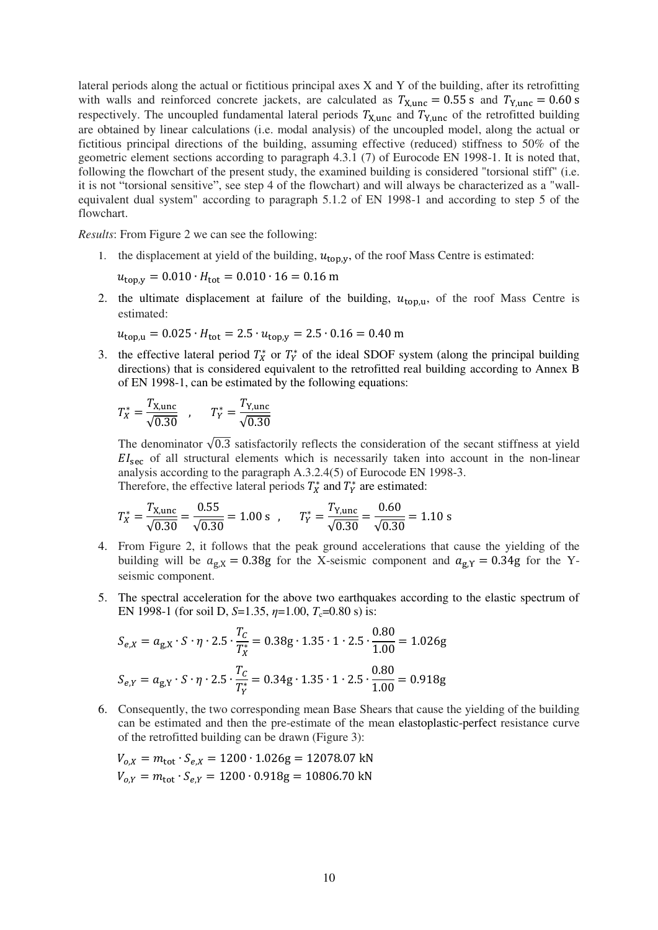lateral periods along the actual or fictitious principal axes X and Y of the building, after its retrofitting with walls and reinforced concrete jackets, are calculated as  $T_{\text{X,unc}} = 0.55$  s and  $T_{\text{Y,unc}} = 0.60$  s respectively. The uncoupled fundamental lateral periods  $T_{\text{X,unc}}$  and  $T_{\text{Y,unc}}$  of the retrofitted building are obtained by linear calculations (i.e. modal analysis) of the uncoupled model, along the actual or fictitious principal directions of the building, assuming effective (reduced) stiffness to 50% of the geometric element sections according to paragraph 4.3.1 (7) of Eurocode EN 1998-1. It is noted that, following the flowchart of the present study, the examined building is considered "torsional stiff" (i.e. it is not "torsional sensitive", see step 4 of the flowchart) and will always be characterized as a "wallequivalent dual system" according to paragraph 5.1.2 of EN 1998-1 and according to step 5 of the flowchart.

*Results*: From Figure 2 we can see the following:

1. the displacement at yield of the building,  $u_{top,v}$ , of the roof Mass Centre is estimated:

 $u_{\text{top.v}} = 0.010 \cdot H_{\text{tot}} = 0.010 \cdot 16 = 0.16 \text{ m}$ 

2. the ultimate displacement at failure of the building,  $u_{\text{ton,u}}$ , of the roof Mass Centre is estimated:

$$
u_{\text{top,u}} = 0.025 \cdot H_{\text{tot}} = 2.5 \cdot u_{\text{top,y}} = 2.5 \cdot 0.16 = 0.40 \text{ m}
$$

3. the effective lateral period  $T_X^*$  or  $T_Y^*$  of the ideal SDOF system (along the principal building directions) that is considered equivalent to the retrofitted real building according to Annex B of EN 1998-1, can be estimated by the following equations:

$$
T_X^* = \frac{T_{X,\text{unc}}}{\sqrt{0.30}} \quad , \qquad T_Y^* = \frac{T_{Y,\text{unc}}}{\sqrt{0.30}}
$$

The denominator  $\sqrt{0.3}$  satisfactorily reflects the consideration of the secant stiffness at yield  $EI_{\text{ser}}$  of all structural elements which is necessarily taken into account in the non-linear analysis according to the paragraph A.3.2.4(5) of Eurocode EN 1998-3. Therefore, the effective lateral periods  $T_X^*$  and  $T_Y^*$  are estimated:

$$
T_X^* = \frac{T_{X, \text{unc}}}{\sqrt{0.30}} = \frac{0.55}{\sqrt{0.30}} = 1.00 \text{ s} , \qquad T_Y^* = \frac{T_{Y, \text{unc}}}{\sqrt{0.30}} = \frac{0.60}{\sqrt{0.30}} = 1.10 \text{ s}
$$

- 4. From Figure 2, it follows that the peak ground accelerations that cause the yielding of the building will be  $a_{gX} = 0.38g$  for the X-seismic component and  $a_{gY} = 0.34g$  for the Yseismic component.
- 5. The spectral acceleration for the above two earthquakes according to the elastic spectrum of EN 1998-1 (for soil D,  $S=1.35$ ,  $n=1.00$ ,  $T_c=0.80$  s) is:

$$
S_{e,X} = a_{g,X} \cdot S \cdot \eta \cdot 2.5 \cdot \frac{T_C}{T_X^*} = 0.38g \cdot 1.35 \cdot 1 \cdot 2.5 \cdot \frac{0.80}{1.00} = 1.026g
$$
  

$$
S_{e,Y} = a_{g,Y} \cdot S \cdot \eta \cdot 2.5 \cdot \frac{T_C}{T_Y^*} = 0.34g \cdot 1.35 \cdot 1 \cdot 2.5 \cdot \frac{0.80}{1.00} = 0.918g
$$

6. Consequently, the two corresponding mean Base Shears that cause the yielding of the building can be estimated and then the pre-estimate of the mean elastoplastic-perfect resistance curve of the retrofitted building can be drawn (Figure 3):

$$
V_{o,X} = m_{\text{tot}} \cdot S_{e,X} = 1200 \cdot 1.026g = 12078.07 \text{ kN}
$$
  

$$
V_{o,Y} = m_{\text{tot}} \cdot S_{e,Y} = 1200 \cdot 0.918g = 10806.70 \text{ kN}
$$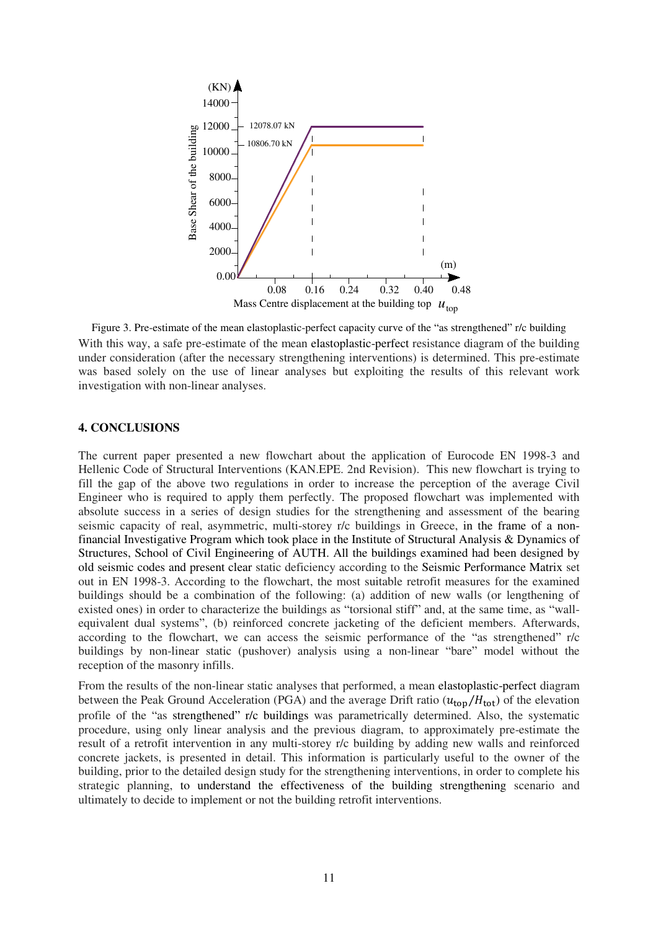

Figure 3. Pre-estimate of the mean elastoplastic-perfect capacity curve of the "as strengthened" r/c building With this way, a safe pre-estimate of the mean elastoplastic-perfect resistance diagram of the building under consideration (after the necessary strengthening interventions) is determined. This pre-estimate was based solely on the use of linear analyses but exploiting the results of this relevant work investigation with non-linear analyses.

# **4. CONCLUSIONS**

The current paper presented a new flowchart about the application of Eurocode EN 1998-3 and Hellenic Code of Structural Interventions (KAN.EPE. 2nd Revision). This new flowchart is trying to fill the gap of the above two regulations in order to increase the perception of the average Civil Engineer who is required to apply them perfectly. The proposed flowchart was implemented with absolute success in a series of design studies for the strengthening and assessment of the bearing seismic capacity of real, asymmetric, multi-storey r/c buildings in Greece, in the frame of a nonfinancial Investigative Program which took place in the Institute of Structural Analysis & Dynamics of Structures, School of Civil Engineering of AUTH. All the buildings examined had been designed by old seismic codes and present clear static deficiency according to the Seismic Performance Matrix set out in EN 1998-3. According to the flowchart, the most suitable retrofit measures for the examined buildings should be a combination of the following: (a) addition of new walls (or lengthening of existed ones) in order to characterize the buildings as "torsional stiff" and, at the same time, as "wallequivalent dual systems", (b) reinforced concrete jacketing of the deficient members. Afterwards, according to the flowchart, we can access the seismic performance of the "as strengthened" r/c buildings by non-linear static (pushover) analysis using a non-linear "bare" model without the reception of the masonry infills.

From the results of the non-linear static analyses that performed, a mean elastoplastic-perfect diagram between the Peak Ground Acceleration (PGA) and the average Drift ratio  $(u_{\text{top}}/H_{\text{tot}})$  of the elevation profile of the "as strengthened" r/c buildings was parametrically determined. Also, the systematic procedure, using only linear analysis and the previous diagram, to approximately pre-estimate the result of a retrofit intervention in any multi-storey r/c building by adding new walls and reinforced concrete jackets, is presented in detail. This information is particularly useful to the owner of the building, prior to the detailed design study for the strengthening interventions, in order to complete his strategic planning, to understand the effectiveness of the building strengthening scenario and ultimately to decide to implement or not the building retrofit interventions.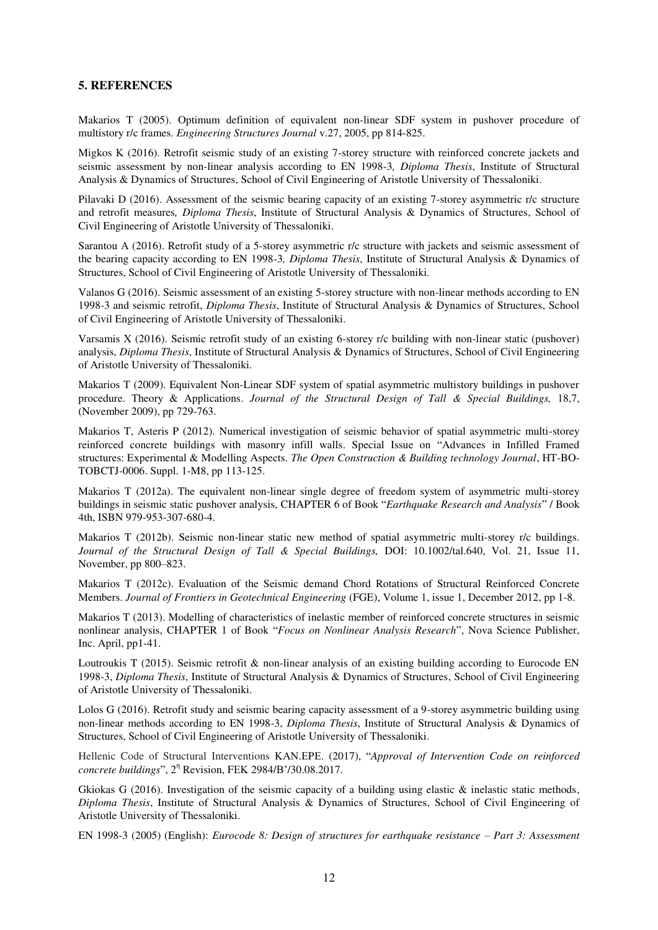### **5. REFERENCES**

Makarios T (2005). Optimum definition of equivalent non-linear SDF system in pushover procedure of multistory r/c frames. *Engineering Structures Journal* v.27, 2005, pp 814-825.

Migkos Κ (2016). Retrofit seismic study of an existing 7-storey structure with reinforced concrete jackets and seismic assessment by non-linear analysis according to EN 1998-3*, Diploma Thesis*, Institute of Structural Analysis & Dynamics of Structures, School of Civil Engineering of Aristotle University of Thessaloniki.

Pilavaki D (2016). Assessment of the seismic bearing capacity of an existing 7-storey asymmetric r/c structure and retrofit measures*, Diploma Thesis*, Institute of Structural Analysis & Dynamics of Structures, School of Civil Engineering of Aristotle University of Thessaloniki.

Sarantou A (2016). Retrofit study of a 5-storey asymmetric r/c structure with jackets and seismic assessment of the bearing capacity according to EN 1998-3*, Diploma Thesis*, Institute of Structural Analysis & Dynamics of Structures, School of Civil Engineering of Aristotle University of Thessaloniki.

Valanos G (2016). Seismic assessment of an existing 5-storey structure with non-linear methods according to ΕΝ 1998-3 and seismic retrofit, *Diploma Thesis*, Institute of Structural Analysis & Dynamics of Structures, School of Civil Engineering of Aristotle University of Thessaloniki.

Varsamis Χ (2016). Seismic retrofit study of an existing 6-storey r/c building with non-linear static (pushover) analysis, *Diploma Thesis*, Institute of Structural Analysis & Dynamics of Structures, School of Civil Engineering of Aristotle University of Thessaloniki.

Makarios T (2009). Equivalent Non-Linear SDF system of spatial asymmetric multistory buildings in pushover procedure. Theory & Applications. *Journal of the Structural Design of Tall & Special Buildings,* 18,7, (November 2009), pp 729-763.

Makarios T, Asteris P (2012). Numerical investigation of seismic behavior of spatial asymmetric multi-storey reinforced concrete buildings with masonry infill walls. Special Issue on "Advances in Infilled Framed structures: Experimental & Modelling Aspects. *The Open Construction & Building technology Journal*, HT-BO-TOBCTJ-0006. Suppl. 1-M8, pp 113-125.

Makarios T (2012a). The equivalent non-linear single degree of freedom system of asymmetric multi-storey buildings in seismic static pushover analysis, CHAPTER 6 of Book "*Earthquake Research and Analysis*" / Book 4th, ISBN 979-953-307-680-4.

Makarios T (2012b). Seismic non-linear static new method of spatial asymmetric multi-storey r/c buildings. *Journal of the Structural Design of Tall & Special Buildings,* DOI: 10.1002/tal.640, Vol. 21, Issue 11, November, pp 800–823.

Makarios T (2012c). Evaluation of the Seismic demand Chord Rotations of Structural Reinforced Concrete Members. *Journal of Frontiers in Geotechnical Engineering* (FGE), Volume 1, issue 1, December 2012, pp 1-8.

Makarios T (2013). Modelling of characteristics of inelastic member of reinforced concrete structures in seismic nonlinear analysis, CHAPTER 1 of Book "*Focus on Nonlinear Analysis Research*", Nova Science Publisher, Inc. April, pp1-41.

Loutroukis T (2015). Seismic retrofit & non-linear analysis of an existing building according to Eurocode EN 1998-3, *Diploma Thesis*, Institute of Structural Analysis & Dynamics of Structures, School of Civil Engineering of Aristotle University of Thessaloniki.

Lolos G (2016). Retrofit study and seismic bearing capacity assessment of a 9-storey asymmetric building using non-linear methods according to EN 1998-3, *Diploma Thesis*, Institute of Structural Analysis & Dynamics of Structures, School of Civil Engineering of Aristotle University of Thessaloniki.

Hellenic Code of Structural Interventions ΚǹΝ.ΕPΕ. (2017), "*Approval of Intervention Code on reinforced concrete buildings*", 2 η Revision, FΕΚ 2984/Ǻ'/30.08.2017.

Gkiokas G (2016). Investigation of the seismic capacity of a building using elastic & inelastic static methods, *Diploma Thesis*, Institute of Structural Analysis & Dynamics of Structures, School of Civil Engineering of Aristotle University of Thessaloniki.

EN 1998-3 (2005) (English): *Eurocode 8: Design of structures for earthquake resistance – Part 3: Assessment*